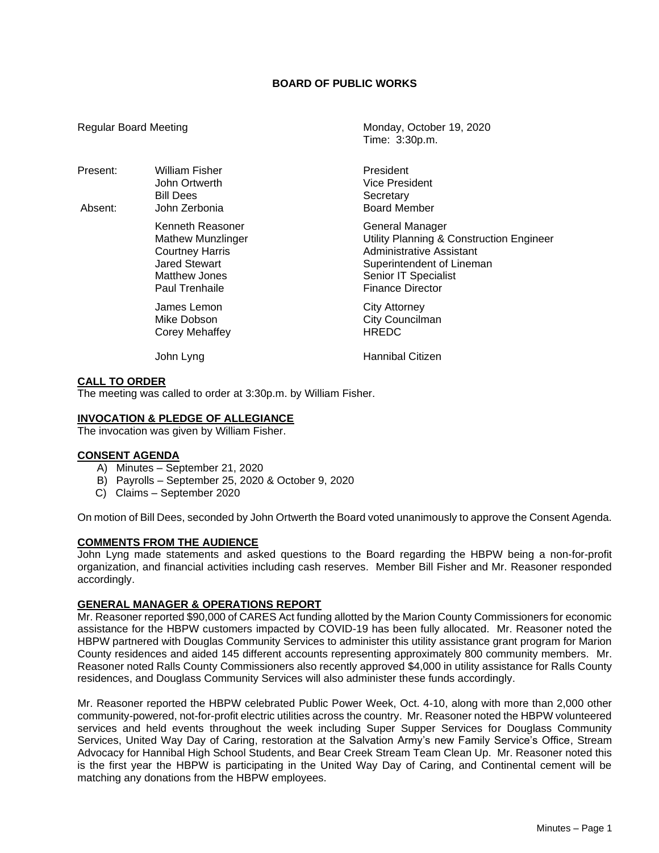# **BOARD OF PUBLIC WORKS**

Present: William Fisher **President** President Bill Dees Secretary

> Kenneth Reasoner General Manager Paul Trenhaile **Finance Director**

> > James Lemon<br>
> > Mike Dobson<br>
> > Mike Dobson<br>
> > City Counciln Corey Mehaffey

Regular Board Meeting Monday, October 19, 2020 Time: 3:30p.m.

John Ortwerth Vice President Absent: John Zerbonia **Board Member** 

> Mathew Munzlinger Utility Planning & Construction Engineer Courtney Harris **Courtney Harris Administrative Assistant**<br>
> Jared Stewart **Administrative Assistant** Superintendent of Lineman Matthew Jones **Senior IT** Specialist

> > City Councilman<br>HRFDC

John Lyng **Hannibal Citizen** 

# **CALL TO ORDER**

The meeting was called to order at 3:30p.m. by William Fisher.

### **INVOCATION & PLEDGE OF ALLEGIANCE**

The invocation was given by William Fisher.

#### **CONSENT AGENDA**

- A) Minutes September 21, 2020
- B) Payrolls September 25, 2020 & October 9, 2020
- C) Claims September 2020

On motion of Bill Dees, seconded by John Ortwerth the Board voted unanimously to approve the Consent Agenda.

# **COMMENTS FROM THE AUDIENCE**

John Lyng made statements and asked questions to the Board regarding the HBPW being a non-for-profit organization, and financial activities including cash reserves. Member Bill Fisher and Mr. Reasoner responded accordingly.

# **GENERAL MANAGER & OPERATIONS REPORT**

Mr. Reasoner reported \$90,000 of CARES Act funding allotted by the Marion County Commissioners for economic assistance for the HBPW customers impacted by COVID-19 has been fully allocated. Mr. Reasoner noted the HBPW partnered with Douglas Community Services to administer this utility assistance grant program for Marion County residences and aided 145 different accounts representing approximately 800 community members. Mr. Reasoner noted Ralls County Commissioners also recently approved \$4,000 in utility assistance for Ralls County residences, and Douglass Community Services will also administer these funds accordingly.

Mr. Reasoner reported the HBPW celebrated Public Power Week, Oct. 4-10, along with more than 2,000 other community-powered, not-for-profit electric utilities across the country. Mr. Reasoner noted the HBPW volunteered services and held events throughout the week including Super Supper Services for Douglass Community Services, United Way Day of Caring, restoration at the Salvation Army's new Family Service's Office, Stream Advocacy for Hannibal High School Students, and Bear Creek Stream Team Clean Up. Mr. Reasoner noted this is the first year the HBPW is participating in the United Way Day of Caring, and Continental cement will be matching any donations from the HBPW employees.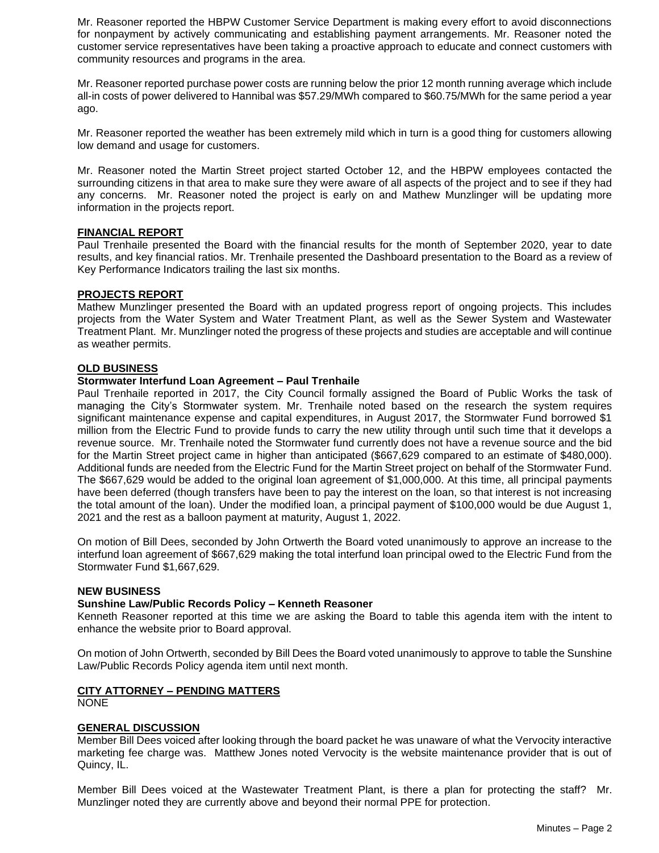Mr. Reasoner reported the HBPW Customer Service Department is making every effort to avoid disconnections for nonpayment by actively communicating and establishing payment arrangements. Mr. Reasoner noted the customer service representatives have been taking a proactive approach to educate and connect customers with community resources and programs in the area.

Mr. Reasoner reported purchase power costs are running below the prior 12 month running average which include all-in costs of power delivered to Hannibal was \$57.29/MWh compared to \$60.75/MWh for the same period a year ago.

Mr. Reasoner reported the weather has been extremely mild which in turn is a good thing for customers allowing low demand and usage for customers.

Mr. Reasoner noted the Martin Street project started October 12, and the HBPW employees contacted the surrounding citizens in that area to make sure they were aware of all aspects of the project and to see if they had any concerns. Mr. Reasoner noted the project is early on and Mathew Munzlinger will be updating more information in the projects report.

# **FINANCIAL REPORT**

Paul Trenhaile presented the Board with the financial results for the month of September 2020, year to date results, and key financial ratios. Mr. Trenhaile presented the Dashboard presentation to the Board as a review of Key Performance Indicators trailing the last six months.

### **PROJECTS REPORT**

Mathew Munzlinger presented the Board with an updated progress report of ongoing projects. This includes projects from the Water System and Water Treatment Plant, as well as the Sewer System and Wastewater Treatment Plant. Mr. Munzlinger noted the progress of these projects and studies are acceptable and will continue as weather permits.

### **OLD BUSINESS**

### **Stormwater Interfund Loan Agreement – Paul Trenhaile**

Paul Trenhaile reported in 2017, the City Council formally assigned the Board of Public Works the task of managing the City's Stormwater system. Mr. Trenhaile noted based on the research the system requires significant maintenance expense and capital expenditures, in August 2017, the Stormwater Fund borrowed \$1 million from the Electric Fund to provide funds to carry the new utility through until such time that it develops a revenue source. Mr. Trenhaile noted the Stormwater fund currently does not have a revenue source and the bid for the Martin Street project came in higher than anticipated (\$667,629 compared to an estimate of \$480,000). Additional funds are needed from the Electric Fund for the Martin Street project on behalf of the Stormwater Fund. The \$667,629 would be added to the original loan agreement of \$1,000,000. At this time, all principal payments have been deferred (though transfers have been to pay the interest on the loan, so that interest is not increasing the total amount of the loan). Under the modified loan, a principal payment of \$100,000 would be due August 1, 2021 and the rest as a balloon payment at maturity, August 1, 2022.

On motion of Bill Dees, seconded by John Ortwerth the Board voted unanimously to approve an increase to the interfund loan agreement of \$667,629 making the total interfund loan principal owed to the Electric Fund from the Stormwater Fund \$1,667,629.

#### **NEW BUSINESS**

# **Sunshine Law/Public Records Policy – Kenneth Reasoner**

Kenneth Reasoner reported at this time we are asking the Board to table this agenda item with the intent to enhance the website prior to Board approval.

On motion of John Ortwerth, seconded by Bill Dees the Board voted unanimously to approve to table the Sunshine Law/Public Records Policy agenda item until next month.

# **CITY ATTORNEY – PENDING MATTERS**

NONE

# **GENERAL DISCUSSION**

Member Bill Dees voiced after looking through the board packet he was unaware of what the Vervocity interactive marketing fee charge was. Matthew Jones noted Vervocity is the website maintenance provider that is out of Quincy, IL.

Member Bill Dees voiced at the Wastewater Treatment Plant, is there a plan for protecting the staff? Mr. Munzlinger noted they are currently above and beyond their normal PPE for protection.